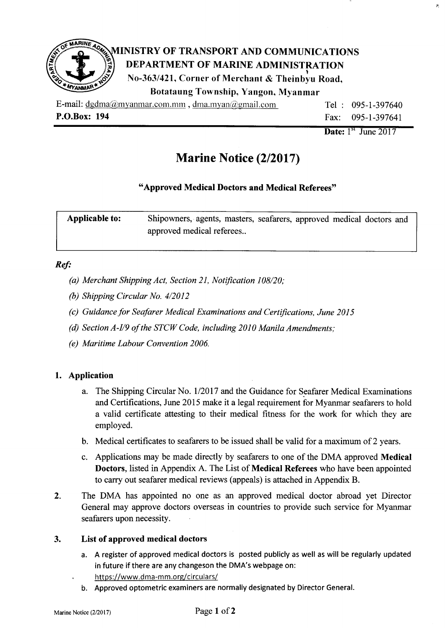

| x: 194 | Fax: $095-1-397641$   |  |
|--------|-----------------------|--|
|        | Date: $1st$ June 2017 |  |

 $\dot{\mathbf{z}}$ 

# Marine Notice (2/2017)

## "Approved Medical Doctors and Medical Referees"

| Applicable to: | Shipowners, agents, masters, seafarers, approved medical doctors and |  |
|----------------|----------------------------------------------------------------------|--|
|                | approved medical referees                                            |  |

#### Ref:

- (a) Merchant Shipping Act, Section 21, Notification 108/20;
- (b) Shtpping Circular No. 4/2012
- (c) Guidance for Seafarer Medical Examinations and Certifications, June 2015
- (d) Section A-I/9 of the STCW Code, including 2010 Manila Amendments;
- (e) Maritime Labour Convention 2006.

## 1. Application

- a. The Shipping Circular No. 1/2017 and the Guidance for Seafarer Medical Examinations and Certifications, June 2015 make it a legal requirement for Myanmar seafarers to hold a valid certificate attesting to their medical fitness for the work for which they are employed.
- b. Medical certificates to seafarers to be issued shall be valid for a maximum of 2 years.
- c. Applications may be made directly by seafarers to one of the DMA approved Medical Doctors, listed in Appendix A. The List of Medical Referees who have been appointed to carry out seafarer medical reviews (appeals) is attached in Appendix B.
- The DMA has appointed no one as an approved medical doctor abroad yet Director General may approve doctors overseas in countries to provide such service for Myanmar seafarers upon necessity. 2.

#### List of approved medical doctors 3.

- a. A register of approved medical doctors is posted publicly as well as will be regularly updated in future if there are any changeson the DMA's webpage on:
- https://www.dma-mm.org/circulars/
- b. Approved optometric examiners are normally designated by Director General.